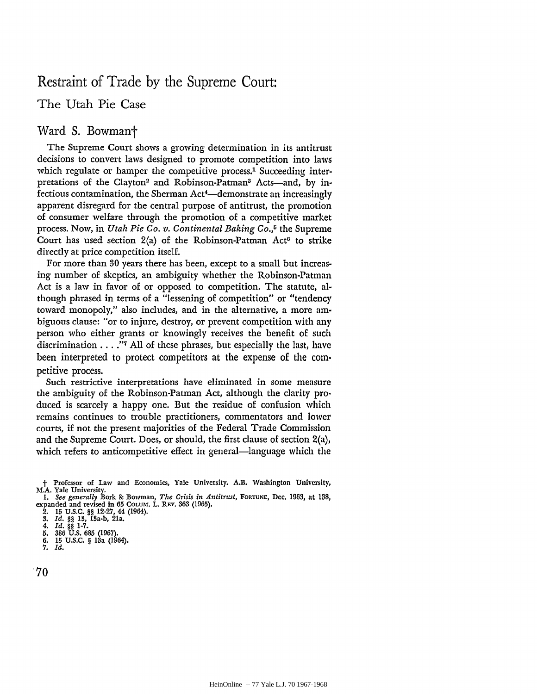## Restraint of Trade by the Supreme Court:

The Utah Pie Case

#### Ward S. Bowmant

The Supreme Court shows a growing determination in its antitrust decisions to convert laws designed to promote competition into laws which regulate or hamper the competitive process.<sup>1</sup> Succeeding interpretations of the Clayton<sup>2</sup> and Robinson-Patman<sup>3</sup> Acts-and, by infectious contamination, the Sherman Act4-demonstrate an increasingly apparent disregard for the central purpose of antitrust, the promotion of consumer welfare through the promotion of a competitive market process. Now, in *Utah Pie Co. v. Continental Baking Co.,G* the Supreme Court has used section  $2(a)$  of the Robinson-Patman Act<sup>6</sup> to strike directly at price competition itself.

For more than 30 years there has been, except to a small but increas· ing number of skeptics, an ambiguity whether the Robinson-Patman Act is a law in favor of or opposed to competition. The statute, al· though phrased in terms of a "lessening of competition" or "tendency toward monopoly," also includes, and in the alternative, a more am· biguous clause: "or to injure, destroy, or prevent competition with any person who either grants or knowingly receives the benefit oE such discrimination  $\ldots$ ."<sup>7</sup> All of these phrases, but especially the last, have been interpreted to protect competitors at the expense of the com· petitive process.

Such restrictive interpretations have eliminated in some measure the ambiguity of the Robinson-Patman Act, although the clarity pro· duced is scarcely a happy one. But the residue of confusion which remains continues to trouble practitioners, commentators and lower courts, if not the present majorities of the Federal Trade Commission and the Supreme Court. Does, or should, the first clause of section 2(a), which refers to anticompetitive effect in general-language which the

t Professor of Law and Economics, Yale University. A.B. Washington University, M.A. Yale University. I. *See generally* Bork &: Bowman, *The Crisis in Antitrust,* FoRTUNE, Dec. 1963, at 138,

expanded and revised in 65 CoLUM. L. REv. 363 (1965). 2. 15 u.s.c. §§ 12-27, 44 (1964). 3. *Id.* §§ 13, 13a-b, 21a.

<sup>4.</sup> *Id.* §§ 1-7.<br>5. 386 U.S. 685 (1967).<br>6. 15 U.S.C. § 13a (1964).

<sup>7.</sup> *Id.*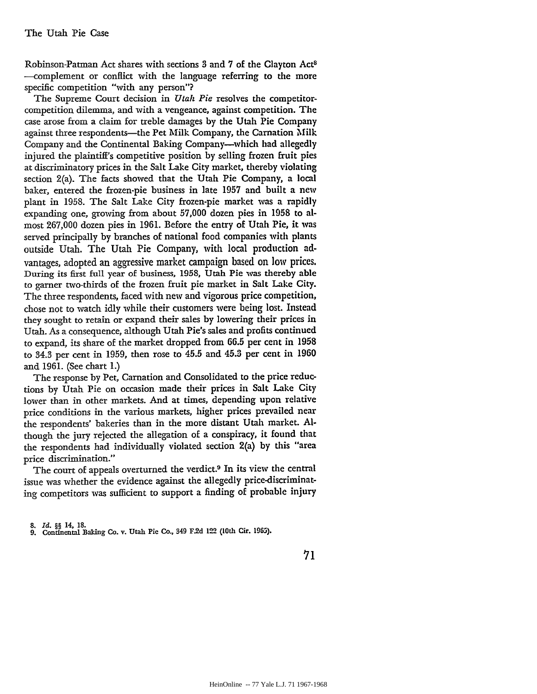Robinson-Patman Act shares with sections 3 and 7 of the Clayton Act<sup>8</sup> -complement or conflict with the language referring to the more specific competition "with any person"?

The Supreme Court decision in *Utah Pie* resolves the competitorcompetition dilemma, and with a vengeance, against competition. The case arose from a claim for treble damages by the Utah Pie Company against three respondents—the Pet Milk Company, the Carnation Milk Company and the Continental Baking Company-which had allegedly injured the plaintiff's competitive position by selling frozen fruit pies at discriminatory prices in the Salt Lake City market, thereby violating section 2(a). The facts showed that the Utah Pie Company, a local baker, entered the frozen-pie business in late 1957 and built a new plant in 1958. The Salt Lake City frozen-pie market was a rapidly expanding one, growing from about 57,000 dozen pies in 1958 to almost 267,000 dozen pies in 1961. Before the entry of Utah Pie, it was served principally by branches of national food companies with plants outside Utah. The Utah Pie Company, with local production advantages, adopted an aggressive market campaign based on low prices. During its first full year of business, **1958,** Utah Pie was thereby able to garner two-thirds of the frozen fruit pie market in Salt Lake City. The three respondents, faced with new and vigorous price competition, chose not to watch idly while their customers were being lost. Instead they sought to retain or expand their sales by lowering their prices in Utah. As a consequence, although Utah Pie's sales and profits continued to expand, its share of the market dropped from **66.5** per cent in **1958** to 34.3 per cent in 1959, then rose to 45.5 and 45.3 per cent in 1960 and 1961. (See chart **1.)**

The response **by** Pet, Carnation and Consolidated to the price reductions **by** Utah Pie on occasion made their prices in Salt Lake City lower than in other markets. And at times, depending upon relative price conditions in the various markets, higher prices prevailed near the respondents' bakeries than in the more distant Utah market. **Al**though the jury rejected the allegation of a conspiracy, it found that the respondents had individually violated section 2(a) by this "area price discrimination."

The court of appeals overturned the verdict.<sup>9</sup> In its view the central issue was whether the evidence against the allegedly price-discriminating competitors was sufficient to support a finding of probable injury

**<sup>8.</sup>** *Id.* §§ 14, **18. 9.** Continental Baking Co. v. Utah Pie Co., 349 F.2d 122 (10th Cir. **1965).**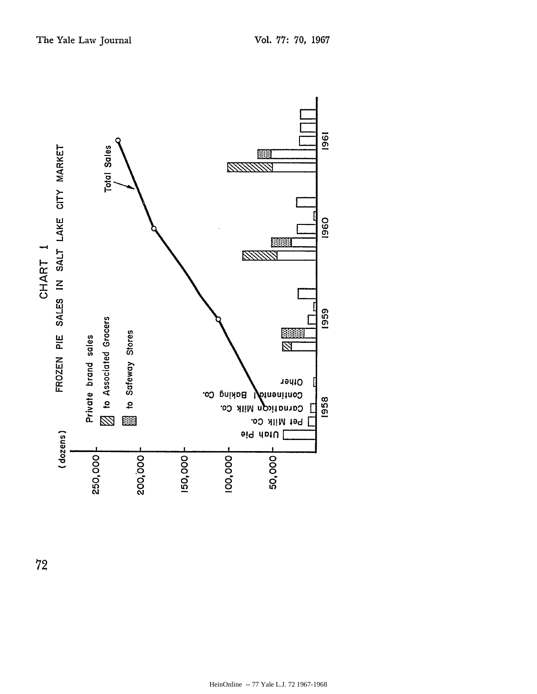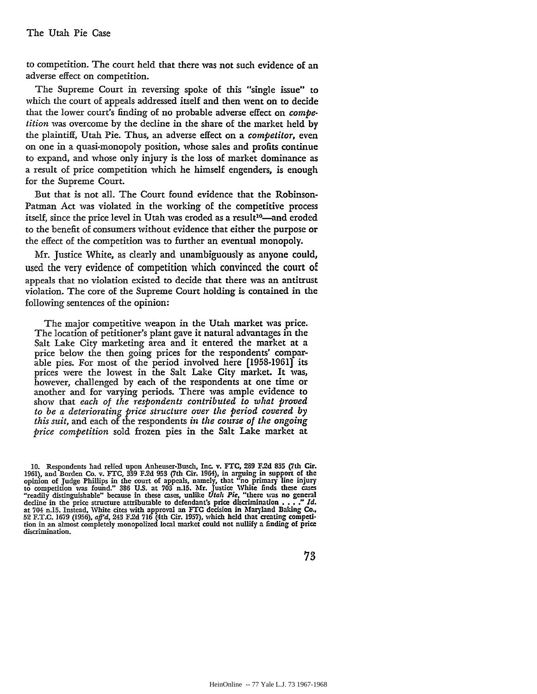to competition. The court held that there was not such evidence of an adverse effect on competition.

The Supreme Court in reversing spoke of this "single issue" to which the court of appeals addressed itself and then went on to decide that the lower court's finding of no probable adverse effect on *competition* was overcome by the decline in the share of the market held by the plaintiff, Utah Pie. Thus, an adverse effect on a *competitor,* even on one in a quasi-monopoly position, whose sales and profits continue to expand, and whose only injury is the loss of market dominance as a result of price competition which he himself engenders, is enough for the Supreme Court.

But that is not all. The Court found evidence that the Robinson-Patman Act was violated in the working of the competitive process itself, since the price level in Utah was eroded as a result<sup>10</sup>—and eroded to the benefit of consumers without evidence that either the purpose or the effect of the competition was to further an eventual monopoly.

Mr. Justice White, as clearly and unambiguously as anyone could, used the very evidence of competition which convinced the court of appeals that no violation existed to decide that there was an antitrust violation. The core of the Supreme Court holding is contained in the following sentences of the opinion:

The major competitive weapon in the Utah market was price. The location of petitioner's plant gave it natural advantages in the Salt Lake City marketing area and it entered the market at a price below the then going prices for the respondents' comparable pies. For most of the period involved here [1958-1961] its prices were the lowest in the Salt Lake City market. It was, however, challenged by each of the respondents at one time or another and for varying periods. There was ample evidence to show that *each of the respondents contributed to what proved to be a deteriorating price structure over the period covered by this suit,* and each of the respondents *in the course of the ongoing price competition* sold frozen pies in the Salt Lake market at

**10.** Respondents had relied upon Anheuser-Busch, Inc. v. FTC, **289 F.2d 835** (7th Cir. 1961), and Borden Co. v. **FTC, 339 F.2d 953** (7th Cir. 1964), in arguing in support of the opinion of Judge Phillips in the court of appeals, namely, that "no primary line injury<br>to competition was found." 386 U.S. at 703 n.15. Mr. Justice White finds these cases<br>"readily distinguishable" because in these cases at 704 n.15. Instead, White cites with approval an FTC decision in Maryland Baking Co., at 704 n.15. Instead, White cites with approval an FTC decision in Maryland Baking Co., 52 F.T.C. 1679 (1956), aff'd, 243 F.2d 716 (4t tion in an almost completely monopolized local market could not nullify a finding of price discrimination.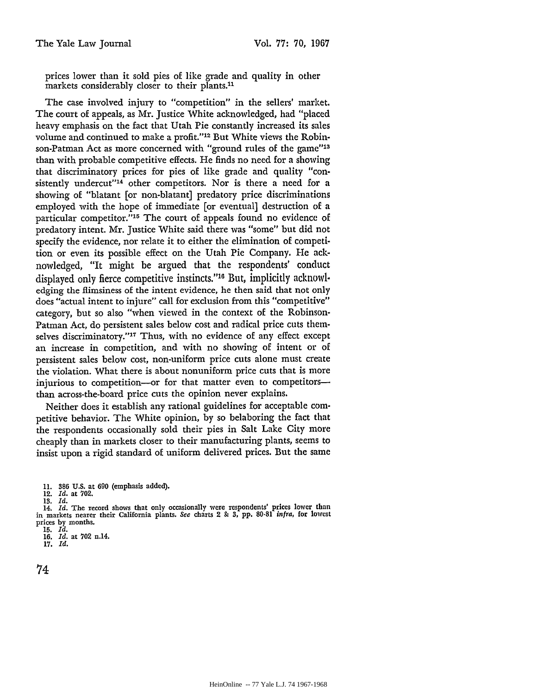prices lower than it sold pies of like grade and quality in other markets considerably closer to their plants.<sup>11</sup>

The case involved injury to "competition" in the sellers' market. The court of appeals, as Mr. Justice White acknowledged, had "placed heavy emphasis on the fact that Utah Pie constantly increased its sales volume and continued to make a profit."<sup>12</sup> But White views the Robinson-Patman Act as more concerned with "ground rules of the game"<sup>13</sup> than with probable competitive effects. He finds no need for a showing that discriminatory prices for pies of like grade and quality "consistently undercut"<sup>14</sup> other competitors. Nor is there a need for a showing of "blatant [or non-blatant] predatory price discriminations employed with the hope of immediate [or eventual] destruction of a particular competitor."<sup>15</sup> The court of appeals found no evidence of predatory intent. Mr. Justice White said there was "some" but did not specify the evidence, nor relate it to either the elimination of competition or even its possible effect on the Utah Pie Company. He acknowledged, "It might be argued that the respondents' conduct displayed only fierce competitive instincts."<sup>16</sup> But, implicitly acknowledging the flimsiness of the intent evidence, he then said that not only does "actual intent to injure" call for exclusion from this "competitive" category, but so also "when viewed in the context of the Robinson-Patman Act, do persistent sales below cost and radical price cuts themselves discriminatory."<sup>17</sup> Thus, with no evidence of any effect except an increase in competition, and with no showing of intent or of persistent sales below cost, non-uniform price cuts alone must create the violation. What there is about nonuniform price cuts that is more injurious to competition--- or for that matter even to competitorsthan across-the-board price cuts the opinion never explains.

Neither does it establish any rational guidelines for acceptable competitive behavior. The White opinion, by so belaboring the fact that the respondents occasionally sold their pies in Salt Lake City more cheaply than in markets closer to their manufacturing plants, seems to insist upon a rigid standard of uniform delivered prices. But the same

12. *Id.* at **702.**

13. *Id.* 14. *Id.* The record shows that only occasionally were respondents' prices lower than in markets nearer their California plants. *See* charts 2 **& 3, pp.** 80.81 infra, for lowest prices **by** months.

**15.** *Id.* **16.** *Id.* at **702** n.14.

**17.** *Id.*

<sup>11.</sup> **386 U.S.** at 690 (emphasis added).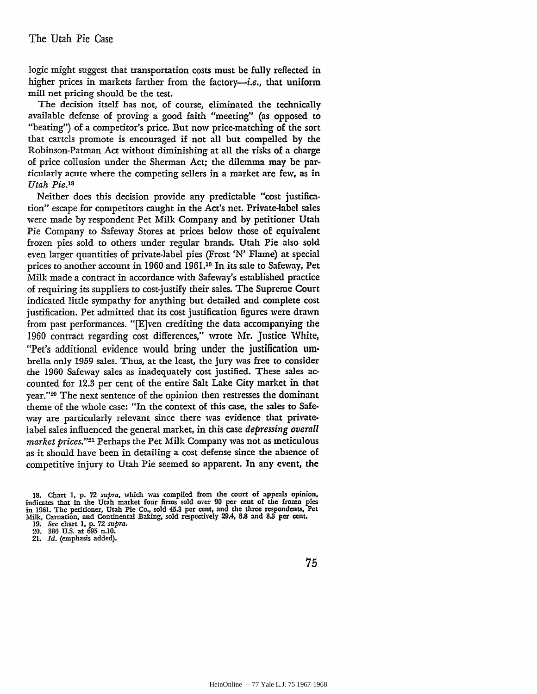logic might suggest that transportation costs must be fully reflected in higher prices in markets farther from the factory-i.e., that uniform mill net pricing should be the test.

The decision itself has not, of course, eliminated the technically available defense of proving a good faith "meeting" (as opposed to "beating") of a competitor's price. But now price-matching of the sort that cartels promote is encouraged if not all but compelled by the Robinson-Patman Act without diminishing at all the risks of a charge of price collusion under the Sherman Act; the dilemma may be particularly acute where the competing sellers in a market are few, as in *Utah Pie.'8*

Neither does this decision provide any predictable "cost justification" escape for competitors caught in the Act's net. Private-label sales were made by respondent Pet Milk Company and by petitioner Utah Pie Company to Safeway Stores at prices below those of equivalent frozen pies sold to others under regular brands. Utah Pie also sold even larger quantities of private-label pies (Frost 'N' Flame) at special prices to another account in 1960 and **1961.10** In its sale to Safeway, Pet Milk made a contract in accordance with Safeway's established practice of requiring its suppliers to cost-justify their sales. The Supreme Court indicated little sympathy for anything but detailed and complete cost justification. Pet admitted that its cost justification figures were drawn from past performances. "[E]ven crediting the data accompanying the 1960 contract regarding cost differences," wrote Mr. Justice White, "Pet's additional evidence would bring under the justification umbrella only 1959 sales. Thus, at the least, the jury was free to consider the 1960 Safeway sales as inadequately cost justified. These sales accounted for 12.3 per cent of the entire Salt Lake City market in that year."<sup>20</sup> The next sentence of the opinion then restresses the dominant theme of the whole case: "In the context of this case, the sales to Safeway are particularly relevant since there was evidence that privatelabel sales influenced the general market, in this case *depressing overall market prices."*<sup>21</sup> Perhaps the Pet Milk Company was not as meticulous as it should have been in detailing a cost defense since the absence of competitive injury to Utah Pie seemed so apparent. In any event, the

**18.** Chart 1, **p.** 72 supra, which was compiled from the court of appeals opinion, indicates that in the Utah market four firms sold over **90** per cent of the frozen pies in **1961.** The petitioner, Utah Pie Co., sold 45.3 per cent, and the three respondents, Pet lilk, Carnation, and Continental Baking, sold respectively 29.4, **8.8** and **8.3** per cent. **19.** *See* chart 1, **p.** 72 *supra.*

21. *Id.* (emphasis added).

<sup>20.</sup> **386 U.S.** at **695** n.10.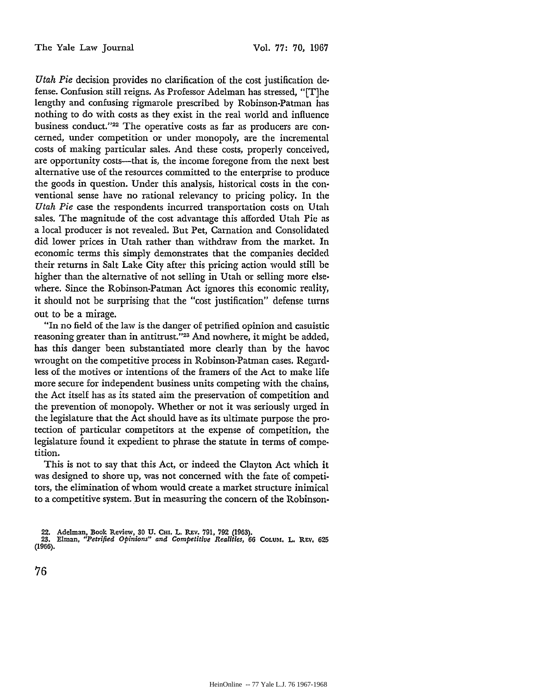*Utah Pie* decision provides no clarification of the cost justification defense. Confusion still reigns. As Professor Adelman has stressed, "[T]he lengthy and confusing rigmarole prescribed by Robinson-Patman has nothing to do with costs as they exist in the real world and influence business conduct."<sup>22</sup> The operative costs as far as producers are concerned, under competition or under monopoly, are the incremental costs of making particular sales. And these costs, properly conceived, are opportunity costs—that is, the income foregone from the next best alternative use of the resources committed to the enterprise to produce the goods in question. Under this analysis, historical costs in the conventional sense have no rational relevancy to pricing policy. In the *Utah Pie* case the respondents incurred transportation costs on Utah sales. The magnitude of the cost advantage this afforded Utah Pie as a local producer is not revealed. But Pet, Carnation and Consolidated did lower prices in Utah rather than withdraw from the market. In economic terms this simply demonstrates that the companies decided their returns in Salt Lake City after this pricing action would still be higher than the alternative of not selling in Utah or selling more elsewhere. Since the Robinson-Patman Act ignores this economic reality, it should not be surprising that the "cost justification" defense turns out to be a mirage.

"In no field of the law is the danger of petrified opinion and casuistic reasoning greater than in antitrust."<sup>23</sup> And nowhere, it might be added, has this danger been substantiated more clearly than by the havoc wrought on the competitive process in Robinson-Patman cases. Regardless of the motives or intentions of the framers of the Act to make life more secure for independent business units competing with the chains, the Act itself has as its stated aim the preservation of competition and the prevention of monopoly. Whether or not it was seriously urged in the legislature that the Act should have as its ultimate purpose the protection of particular competitors at the expense of competition, the legislature found it expedient to phrase the statute in terms of competition.

This is not to say that this Act, or indeed the Clayton Act which it was designed to shore up, was not concerned with the fate of competitors, the elimination of whom would create a market structure inimical to a competitive system. But in measuring the concern of the Robinson-

<sup>22.</sup> Adelman, Book Review, **go** U. Cim. L. REv. 791, 792 (1963). **23.** Elman, *"Petrified Opinions" and Corpetitive Realities,* 66 **COLUM.** L. 'REV. **<sup>625</sup>** (1966).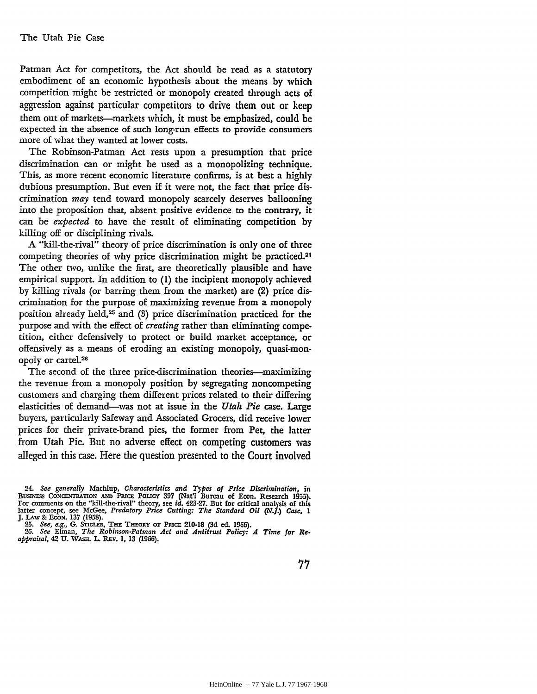Patman Act for competitors, the Act should be read as a statutory embodiment of an economic hypothesis about the means by which competition might be restricted or monopoly created through acts of aggression against particular competitors to drive them out or keep them out of markets-markets which, it must be emphasized, could be expected in the absence of such long-run effects to provide consumers more of what they wanted at lower costs.

The Robinson-Patman Act rests upon a presumption that price discrimination can or might be used as a monopolizing technique. This, as more recent economic literature confirms, is at best a highly dubious presumption. But even if it were not, the fact that price discrimination *may* tend toward monopoly scarcely deserves ballooning into the proposition that, absent positive evidence to the contrary, it can be *expected* to have the result of eliminating competition by killing off or disciplining rivals.

A "kill-the-rival" theory of price discrimination is only one of three competing theories of why price discrimination might be practiced.<sup>24</sup> The other two, unlike the first, are theoretically plausible and have empirical support. In addition to **(1)** the incipient monopoly achieved **by** killing rivals (or barring them from the market) are (2) price discrimination for the purpose of maximizing revenue from a monopoly position already held,25 and (3) price discrimination practiced for the purpose and with the effect of *creating* rather than eliminating competition, either defensively to protect or build market acceptance, or offensively as a means of eroding an existing monopoly, quasi-monopoly or cartel.<sup>26</sup>

The second of the three price-discrimination theories—maximizing the revenue from a monopoly position by segregating noncompeting customers and charging them different prices related to their differing elasticities of demand-was not at issue in the *Utah Pie* case. Large buyers, particularly Safeway and Associated Grocers, did receive lower prices for their private-brand pies, the former from Pet, the latter from Utah Pie. But no adverse effect on competing customers was alleged in this case. Here the question presented to the Court involved

<sup>24.</sup> *See generally* Machlup, *Characteristics and Types of Price Discrimination, in* **BusINEss CONCENTRATION AND PRICE** PoICY 397 (Nat'l Bureau **of** Econ. Research **1955).** For comments on the "kill-the-rival" theory, see id. 423-27. But for critical analysis of this latter concept, see McGee, *Predatory Price Cutting: The Standard Oil (N.J.) Case*, 1<br>J. LAW & ECON. 137 (1958).<br>25. See, e.g.,

*appraisal, 42* **U. WAsH.** *L REv.* **1, 13 (1966).**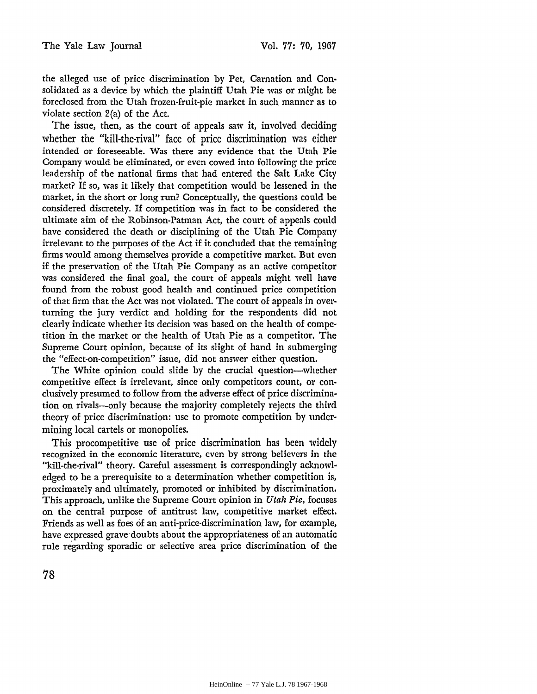the alleged use of price discrimination by Pet, Carnation and Consolidated as a device by which the plaintiff Utah Pie was or might be foreclosed from the Utah frozen-fruit-pie market in such manner as to violate section 2(a) of the Act.

The issue, then, as the court of appeals saw it, involved deciding whether the "kill-the-rival" face of price discrimination was either intended or foreseeable. Was there any evidence that the Utah Pie Company would be eliminated, or even cowed into following the price leadership of the national firms that had entered the Salt Lake City market? If so, was it likely that competition would be lessened in the market, in the short or long run? Conceptually, the questions could be considered discretely. If competition was in fact to be considered the ultimate aim of the Robinson-Patman Act, the court of appeals could have considered the death or disciplining of the Utah Pie Company irrelevant to the purposes of the Act if it concluded that the remaining firms would among themselves provide a competitive market. But even if the preservation of the Utah Pie Company as an active competitor was considered the final goal, the court of appeals might well have found from the robust good health and continued price competition of that firm that the Act was not violated. The court of appeals in overturning the jury verdict and holding for the respondents did not clearly indicate whether its decision was based on the health of competition in the market or the health of Utah Pie as a competitor. The Supreme Court opinion, because of its slight of hand in submerging the "effect-on-competition" issue, did not answer either question.

The White opinion could slide by the crucial question-whether competitive effect is irrelevant, since only competitors count, or conclusively presumed to follow from the adverse effect of price discrimination on rivals-only because the majority completely rejects the third theory of price discrimination: use to promote competition by undermining local cartels or monopolies.

This procompetitive use of price discrimination has been widely recognized in the economic literature, even by strong believers in the "kill-the-rival" theory. Careful assessment is correspondingly acknowledged to be a prerequisite to a determination whether competition is, proximately and ultimately, promoted or inhibited by discrimination. This approach, unlike the Supreme Court opinion in *Utah Pie,* focuses on the central purpose of antitrust law, competitive market effect. Friends as well as foes 6f an anti-price-discrimination law, for example, have expressed grave doubts about the appropriateness of an automatic rule regarding sporadic or selective area price discrimination of the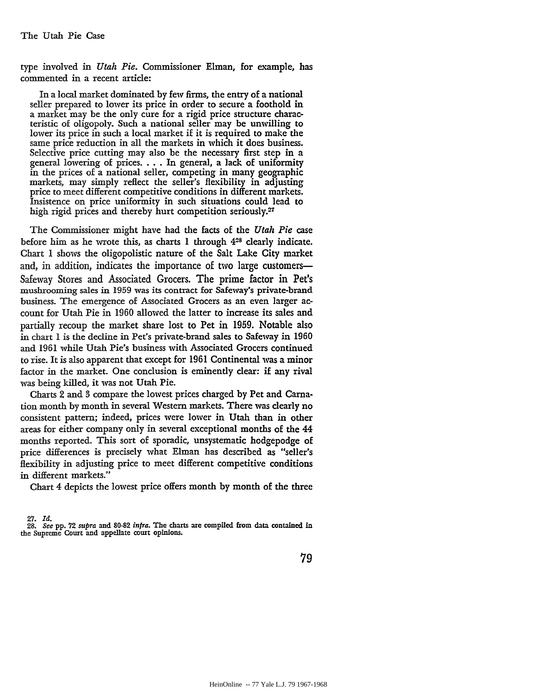type involved in *Utah Pie.* Commissioner Elman, for example, has commented in a recent article:

In a local market dominated by few firms, the entry of a national seller prepared to lower its price in order to secure a foothold in a market may be the only cure for a rigid price structure characteristic of oligopoly. Such a national seller may be unwilling to lower its price in such a local market if it is required to make the same price reduction in all the markets in which it does business. Selective price cutting may also be the necessary first step in a general lowering of prices.... In general, a lack of uniformity in the prices of a national seller, competing in many geographic markets, may simply reflect the seller's flexibility in adjusting price to meet different competitive conditions in different markets. Insistence on price uniformity in such situations could lead to high rigid prices and thereby hurt competition seriously.<sup>27</sup>

The Commissioner might have had the facts of the *Utah Pie* case before him as he wrote this, as charts  $1$  through  $4^{28}$  clearly indicate. Chart 1 shows the oligopolistic nature of the Salt Lake City market and, in addition, indicates the importance of two large customers— Safeway Stores and Associated Grocers. The prime factor in Pet's mushrooming sales in 1959 was its contract for Safeway's private-brand business. The emergence of Associated Grocers as an even larger account for Utah Pie in 1960 allowed the latter to increase its sales and partially recoup the market share lost to Pet in 1959. Notable also in chart **I** is the decline in Pet's private-brand sales to Safeway in 1960 and 1961 while Utah Pie's business with Associated Grocers continued to rise. It is also apparent that except for 1961 Continental was a minor factor in the market. One conclusion is eminently dear: if any rival was being killed, it was not Utah Pie.

Charts 2 and 3 compare the lowest prices charged by Pet and Carnation month by month in several Western markets. There was dearly no consistent pattern; indeed, prices were lower in Utah than in other areas for either company only in several exceptional months of the 44 months reported. This sort of sporadic, unsystematic hodgepodge of price differences is precisely what Elman has described as "seller's flexibility in adjusting price to meet different competitive conditions in different markets."

Chart 4 depicts the lowest price offers month by month of the three

**<sup>27.</sup>** *Id.* **28.** *See* **pp. 72** *supra* and **80-82** *infra.* The charts **are** compiled from data contained in the Supreme Court and appellate court opinions.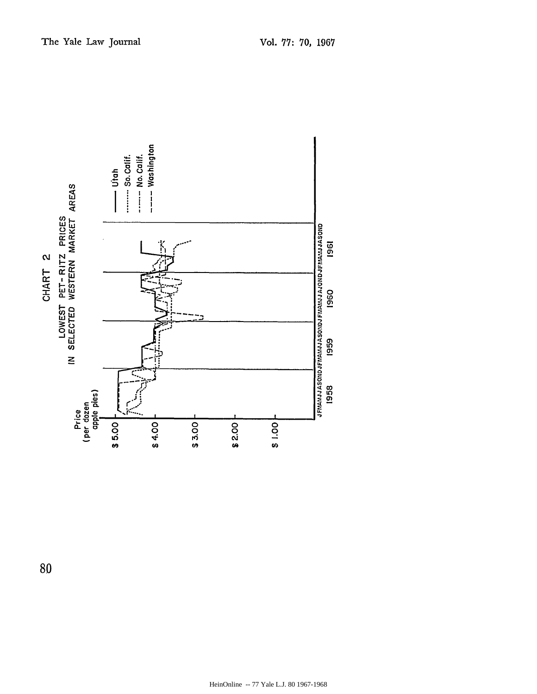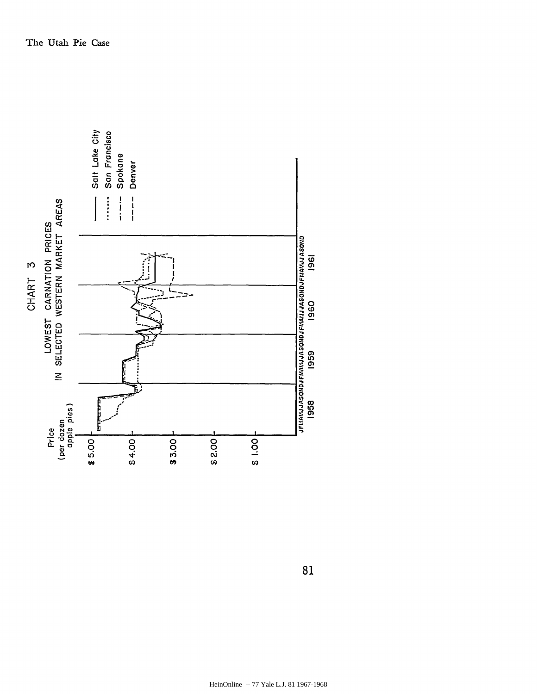

81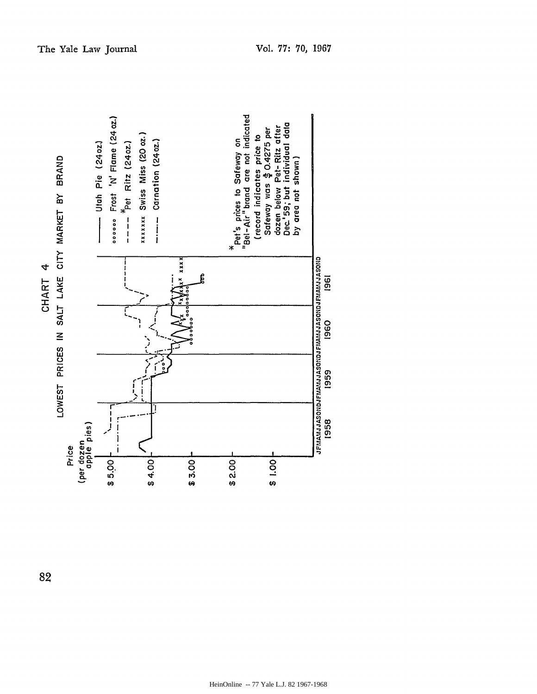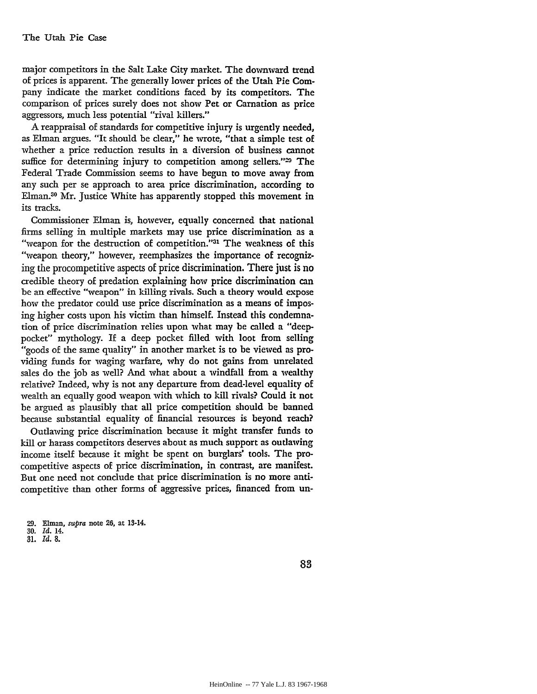major competitors in the Salt Lake City market. The downward trend of prices is apparent. The generally lower prices of the Utah Pie Company indicate the market conditions faced by its competitors. The comparison of prices surely does not show Pet or Carnation as price aggressors, much less potential "rival killers."

**A** reappraisal of standards for competitive injury is urgently needed, as Elman argues. "It should be clear," he wrote, "that a simple test of whether a price reduction results in a diversion of business cannot suffice for determining injury to competition among sellers." $\mathbb{P}^3$  The Federal Trade Commission seems to have begun to move away from any such per se approach to area price discrimination, according to Elman.30 Mr. Justice White has apparently stopped this movement in its tracks.

Commissioner Elman is, however, equally concerned that national firms selling in multiple markets may use price discrimination as a "weapon for the destruction of competition."<sup>31</sup> The weakness of this "weapon theory," however, reemphasizes the importance of recognizing the procompetitive aspects of price discrimination. There just is no credible theory of predation explaining how price discrimination can be an effective "weapon"' in killing rivals. Such a theory would expose how the predator could use price discrimination as a means of imposing higher costs upon his victim than himself. Instead this condemnation of price discrimination relies upon what may be called a "deeppocket" mythology. If a deep pocket filled with loot from selling "goods of the same quality" in another market is to be viewed as providing funds for waging warfare, why do not gains from unrelated sales do the job as well? And what about a windfall from a wealthy relative? Indeed, why is not any departure from dead-level equality of wealth an equally good weapon with which to kill rivals? Could it not be argued as plausibly that all price competition should be banned because substantial equality of financial resources is beyond reach?

Outlawing price discrimination because it might transfer funds to kill or harass competitors deserves about as much support as outlawing income itself because it might be spent on burglars' tools. The procompetitive aspects of price discrimination, in contrast, are manifest. But one need not conclude that price discrimination is no more anticompetitive than other forms of aggressive prices, financed from un-

<sup>29.</sup> Elman, *supra* note 26, at 13-14.

**So.** *Id.* 14.

*<sup>31.</sup> Id.* **8.**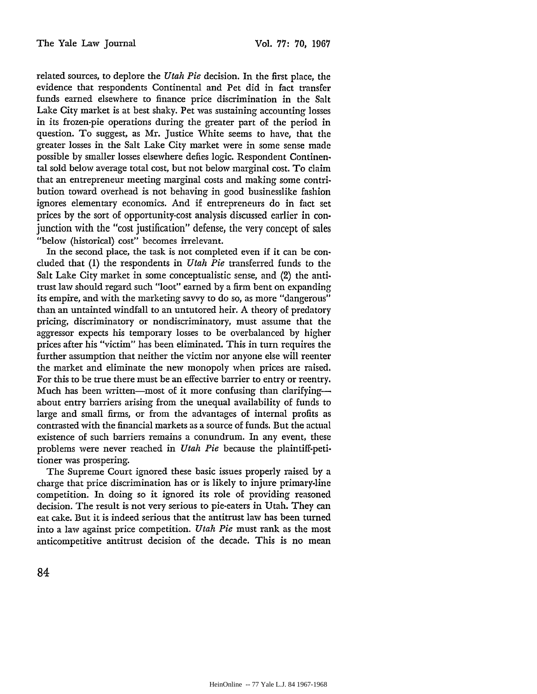related sources, to deplore the *Utah Pie* decision. In the first place, the evidence that respondents Continental and Pet did in fact transfer funds earned elsewhere to finance price discrimination in the Salt Lake City market is at best shaky. Pet was sustaining accounting losses in its frozen-pie operations during the greater part of the period in question. To suggest, as Mr. Justice White seems to have, that the greater losses in the Salt Lake City market were in some sense made possible by smaller losses elsewhere defies logic. Respondent Continental sold below average total cost, but not below marginal cost. To claim that an entrepreneur meeting marginal costs and making some contribution toward overhead is not behaving in good businesslike fashion ignores elementary economics. And if entrepreneurs do in fact set prices by the sort of opportunity-cost analysis discussed earlier in conjunction with the "cost justification" defense, the very concept of sales "below (historical) cost" becomes irrelevant.

In the second place, the task is not completed even if it can be concluded that (1) the respondents in *Utah Pie* transferred funds to the Salt Lake City market in some conceptualistic sense, and (2) the antitrust law should regard such "loot" earned by a firm bent on expanding its empire, and with the marketing savvy to do so, as more "dangerous" than an untainted windfall to an untutored heir. **A** theory of predatory pricing, discriminatory or nondiscriminatory, must assume that the aggressor expects his temporary losses to be overbalanced by higher prices after his "victim" has been eliminated. This in turn requires the further assumption that neither the victim nor anyone else will reenter the market and eliminate the new monopoly when prices are raised. For this to be true there must be an effective barrier to entry or reentry. Much has been written—most of it more confusing than clarifying about entry barriers arising from the unequal availability of funds to large and small firms, or from the advantages of internal profits as contrasted with the financial markets as a source of funds. But the actual existence of such barriers remains a conundrum. In any event, these problems were never reached in *Utah Pie* because the plaintiff-petitioner was prospering.

The Supreme Court ignored these basic issues properly raised by a charge that price discrimination has or is likely to injure primary-line competition. In doing so it ignored its role of providing reasoned decision. The result is not very serious to pie-eaters in Utah. They can eat cake. But it is indeed serious that the antitrust law has been turned into a law against price competition. *Utah Pie* must rank as the most anticompetitive antitrust decision of the decade. This is no mean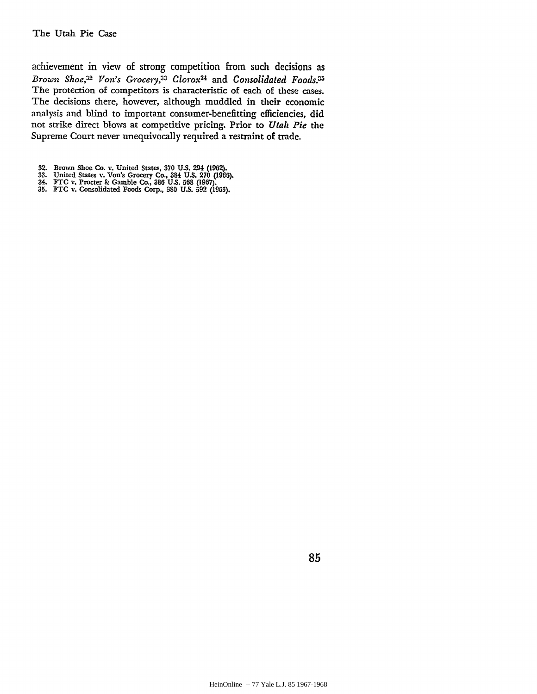achievement in view of strong competition from such decisions as *Brown Shoe*,<sup>32</sup> *Von's Grocery*,<sup>33</sup> *Clorox*<sup>34</sup> and *Consolidated Foods.*<sup>35</sup> The protection of competitors is characteristic of each of these cases. The decisions there, however, although muddled in their economic analysis and blind to important consumer-benefitting efficiencies, did not strike direct blows at competitive pricing. Prior to *Utah Pie* the Supreme Court never unequivocally required a restraint of trade.

- **32. Brown** Shoe Co. v. United States, **370 U.S.** 294 **(1962).**
- **33. United** States **v. Von's Grocery Co., 384 U.S. 270 (1966).** 34. FTC v. Procter **9-** Gamble **Co., 386 U.S. 568 (1967).**
- **35. FTC** v. Consolidated Foods Corp., **380 U.S. 592 (1965).**